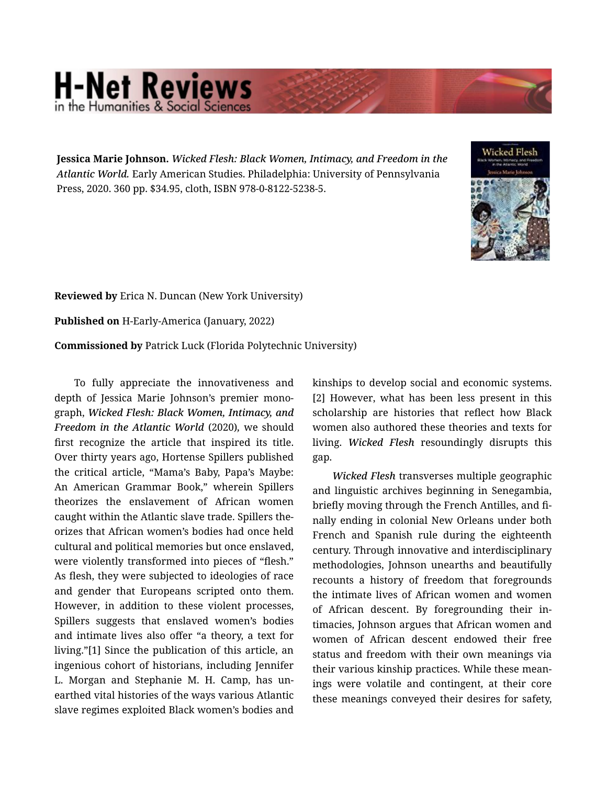## **H-Net Reviews** in the Humanities & Social Scie

Jessica Marie Johnson. *Wicked Flesh: Black Women, Intimacy, and Freedom in the Atlantic World.* Early American Studies. Philadelphia: University of Pennsylvania Press, 2020. 360 pp. \$34.95, cloth, ISBN 978-0-8122-5238-5.



Reviewed by Erica N. Duncan (New York University)

Published on H-Early-America (January, 2022)

Commissioned by Patrick Luck (Florida Polytechnic University)

To fully appreciate the innovativeness and depth of Jessica Marie Johnson's premier mono‐ graph, *Wicked Flesh: Black Women, Intimacy, and Freedom in the Atlantic World* (2020)*,* we should first recognize the article that inspired its title. Over thirty years ago, Hortense Spillers published the critical article, "Mama's Baby, Papa's Maybe: An American Grammar Book," wherein Spillers theorizes the enslavement of African women caught within the Atlantic slave trade. Spillers the‐ orizes that African women's bodies had once held cultural and political memories but once enslaved, were violently transformed into pieces of "flesh." As flesh, they were subjected to ideologies of race and gender that Europeans scripted onto them. However, in addition to these violent processes, Spillers suggests that enslaved women's bodies and intimate lives also offer "a theory, a text for living."[1] Since the publication of this article, an ingenious cohort of historians, including Jennifer L. Morgan and Stephanie M. H. Camp, has un‐ earthed vital histories of the ways various Atlantic slave regimes exploited Black women's bodies and

kinships to develop social and economic systems. [2] However, what has been less present in this scholarship are histories that reflect how Black women also authored these theories and texts for living. *Wicked Flesh* resoundingly disrupts this gap.

*Wicked Flesh* transverses multiple geographic and linguistic archives beginning in Senegambia, briefly moving through the French Antilles, and fi‐ nally ending in colonial New Orleans under both French and Spanish rule during the eighteenth century. Through innovative and interdisciplinary methodologies, Johnson unearths and beautifully recounts a history of freedom that foregrounds the intimate lives of African women and women of African descent. By foregrounding their in‐ timacies, Johnson argues that African women and women of African descent endowed their free status and freedom with their own meanings via their various kinship practices. While these mean‐ ings were volatile and contingent, at their core these meanings conveyed their desires for safety,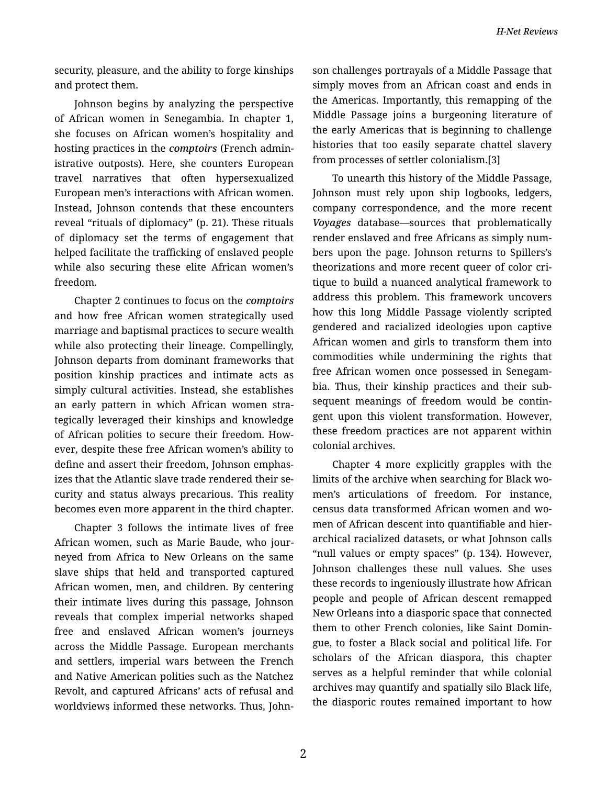*H-Net Reviews*

security, pleasure, and the ability to forge kinships and protect them.

Johnson begins by analyzing the perspective of African women in Senegambia. In chapter 1, she focuses on African women's hospitality and hosting practices in the *comptoirs* (French admin‐ istrative outposts). Here, she counters European travel narratives that often hypersexualized European men's interactions with African women. Instead, Johnson contends that these encounters reveal "rituals of diplomacy" (p. 21). These rituals of diplomacy set the terms of engagement that helped facilitate the trafficking of enslaved people while also securing these elite African women's freedom.

Chapter 2 continues to focus on the *comptoirs* and how free African women strategically used marriage and baptismal practices to secure wealth while also protecting their lineage. Compellingly, Johnson departs from dominant frameworks that position kinship practices and intimate acts as simply cultural activities. Instead, she establishes an early pattern in which African women stra‐ tegically leveraged their kinships and knowledge of African polities to secure their freedom. How‐ ever, despite these free African women's ability to define and assert their freedom, Johnson emphas‐ izes that the Atlantic slave trade rendered their se‐ curity and status always precarious. This reality becomes even more apparent in the third chapter.

Chapter 3 follows the intimate lives of free African women, such as Marie Baude, who jour‐ neyed from Africa to New Orleans on the same slave ships that held and transported captured African women, men, and children. By centering their intimate lives during this passage, Johnson reveals that complex imperial networks shaped free and enslaved African women's journeys across the Middle Passage. European merchants and settlers, imperial wars between the French and Native American polities such as the Natchez Revolt, and captured Africans' acts of refusal and worldviews informed these networks. Thus, John‐ son challenges portrayals of a Middle Passage that simply moves from an African coast and ends in the Americas. Importantly, this remapping of the Middle Passage joins a burgeoning literature of the early Americas that is beginning to challenge histories that too easily separate chattel slavery from processes of settler colonialism.[3]

To unearth this history of the Middle Passage, Johnson must rely upon ship logbooks, ledgers, company correspondence, and the more recent *Voyages* database—sources that problematically render enslaved and free Africans as simply num‐ bers upon the page. Johnson returns to Spillers's theorizations and more recent queer of color cri‐ tique to build a nuanced analytical framework to address this problem. This framework uncovers how this long Middle Passage violently scripted gendered and racialized ideologies upon captive African women and girls to transform them into commodities while undermining the rights that free African women once possessed in Senegam‐ bia. Thus, their kinship practices and their sub‐ sequent meanings of freedom would be contin‐ gent upon this violent transformation. However, these freedom practices are not apparent within colonial archives.

Chapter 4 more explicitly grapples with the limits of the archive when searching for Black wo‐ men's articulations of freedom. For instance, census data transformed African women and wo‐ men of African descent into quantifiable and hierarchical racialized datasets, or what Johnson calls "null values or empty spaces" (p. 134). However, Johnson challenges these null values. She uses these records to ingeniously illustrate how African people and people of African descent remapped New Orleans into a diasporic space that connected them to other French colonies, like Saint Domin‐ gue, to foster a Black social and political life. For scholars of the African diaspora, this chapter serves as a helpful reminder that while colonial archives may quantify and spatially silo Black life, the diasporic routes remained important to how

2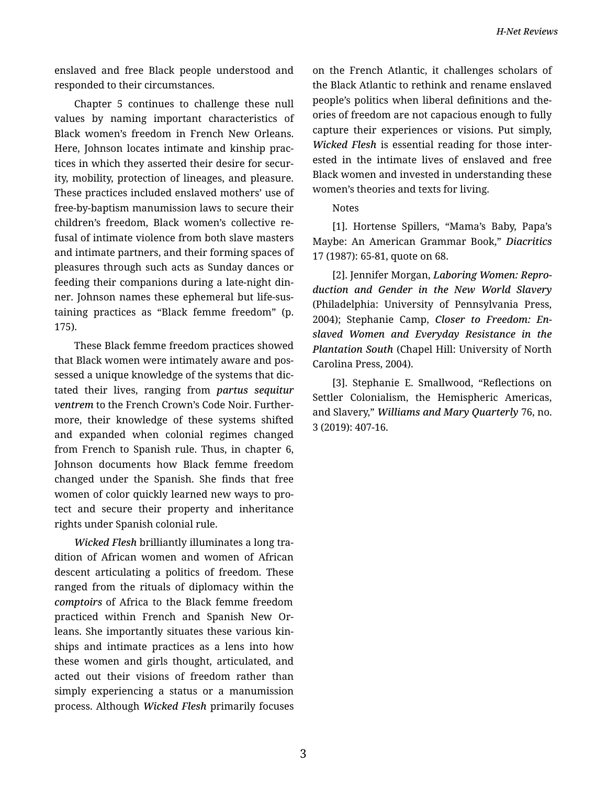enslaved and free Black people understood and responded to their circumstances.

Chapter 5 continues to challenge these null values by naming important characteristics of Black women's freedom in French New Orleans. Here, Johnson locates intimate and kinship prac‐ tices in which they asserted their desire for secur‐ ity, mobility, protection of lineages, and pleasure. These practices included enslaved mothers' use of free-by-baptism manumission laws to secure their children's freedom, Black women's collective re‐ fusal of intimate violence from both slave masters and intimate partners, and their forming spaces of pleasures through such acts as Sunday dances or feeding their companions during a late-night din‐ ner. Johnson names these ephemeral but life-sus‐ taining practices as "Black femme freedom" (p. 175).

These Black femme freedom practices showed that Black women were intimately aware and pos‐ sessed a unique knowledge of the systems that dic‐ tated their lives, ranging from *partus sequitur ventrem* to the French Crown's Code Noir. Further‐ more, their knowledge of these systems shifted and expanded when colonial regimes changed from French to Spanish rule. Thus, in chapter 6, Johnson documents how Black femme freedom changed under the Spanish. She finds that free women of color quickly learned new ways to pro‐ tect and secure their property and inheritance rights under Spanish colonial rule.

*Wicked Flesh* brilliantly illuminates a long tra‐ dition of African women and women of African descent articulating a politics of freedom. These ranged from the rituals of diplomacy within the *comptoirs* of Africa to the Black femme freedom practiced within French and Spanish New Or‐ leans. She importantly situates these various kin‐ ships and intimate practices as a lens into how these women and girls thought, articulated, and acted out their visions of freedom rather than simply experiencing a status or a manumission process. Although *Wicked Flesh* primarily focuses

on the French Atlantic, it challenges scholars of the Black Atlantic to rethink and rename enslaved people's politics when liberal definitions and the‐ ories of freedom are not capacious enough to fully capture their experiences or visions. Put simply, *Wicked Flesh* is essential reading for those inter‐ ested in the intimate lives of enslaved and free Black women and invested in understanding these women's theories and texts for living.

Notes

[1]. Hortense Spillers, "Mama's Baby, Papa's Maybe: An American Grammar Book," *Diacritics*  17 (1987): 65-81, quote on 68.

[2]. Jennifer Morgan, *Laboring Women: Repro‐ duction and Gender in the New World Slavery* (Philadelphia: University of Pennsylvania Press, 2004); Stephanie Camp, *Closer to Freedom: En‐ slaved Women and Everyday Resistance in the Plantation South* (Chapel Hill: University of North Carolina Press, 2004).

[3]. Stephanie E. Smallwood, "Reflections on Settler Colonialism, the Hemispheric Americas, and Slavery," *Williams and Mary Quarterly* 76, no. 3 (2019): 407-16.